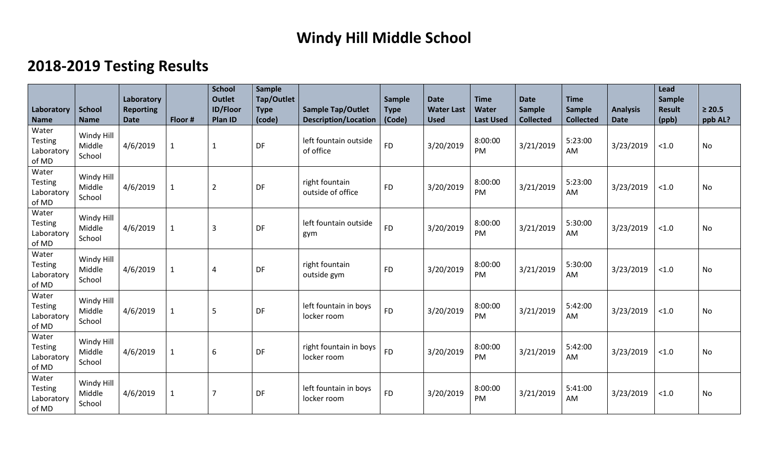## **Windy Hill Middle School**

## **2018-2019 Testing Results**

| Laboratory<br><b>Name</b>                      | <b>School</b><br><b>Name</b>   | Laboratory<br><b>Reporting</b><br><b>Date</b> | Floor #      | <b>School</b><br><b>Outlet</b><br><b>ID/Floor</b><br><b>Plan ID</b> | Sample<br>Tap/Outlet<br><b>Type</b><br>(code) | <b>Sample Tap/Outlet</b><br><b>Description/Location</b> | <b>Sample</b><br><b>Type</b><br>(Code) | <b>Date</b><br><b>Water Last</b><br><b>Used</b> | <b>Time</b><br>Water<br><b>Last Used</b> | <b>Date</b><br><b>Sample</b><br><b>Collected</b> | <b>Time</b><br><b>Sample</b><br><b>Collected</b> | <b>Analysis</b><br><b>Date</b> | Lead<br>Sample<br><b>Result</b><br>(ppb) | $\geq 20.5$<br>ppb AL? |
|------------------------------------------------|--------------------------------|-----------------------------------------------|--------------|---------------------------------------------------------------------|-----------------------------------------------|---------------------------------------------------------|----------------------------------------|-------------------------------------------------|------------------------------------------|--------------------------------------------------|--------------------------------------------------|--------------------------------|------------------------------------------|------------------------|
| Water<br><b>Testing</b><br>Laboratory<br>of MD | Windy Hill<br>Middle<br>School | 4/6/2019                                      | $\mathbf 1$  | $\mathbf 1$                                                         | DF                                            | left fountain outside<br>of office                      | <b>FD</b>                              | 3/20/2019                                       | 8:00:00<br>PM                            | 3/21/2019                                        | 5:23:00<br>AM                                    | 3/23/2019                      | < 1.0                                    | <b>No</b>              |
| Water<br><b>Testing</b><br>Laboratory<br>of MD | Windy Hill<br>Middle<br>School | 4/6/2019                                      | $\mathbf{1}$ | $\overline{2}$                                                      | DF                                            | right fountain<br>outside of office                     | <b>FD</b>                              | 3/20/2019                                       | 8:00:00<br><b>PM</b>                     | 3/21/2019                                        | 5:23:00<br><b>AM</b>                             | 3/23/2019                      | < 1.0                                    | No                     |
| Water<br>Testing<br>Laboratory<br>of MD        | Windy Hill<br>Middle<br>School | 4/6/2019                                      | $\mathbf 1$  | $\overline{3}$                                                      | DF                                            | left fountain outside<br>gym                            | <b>FD</b>                              | 3/20/2019                                       | 8:00:00<br><b>PM</b>                     | 3/21/2019                                        | 5:30:00<br>AM                                    | 3/23/2019                      | < 1.0                                    | <b>No</b>              |
| Water<br><b>Testing</b><br>Laboratory<br>of MD | Windy Hill<br>Middle<br>School | 4/6/2019                                      | $\mathbf{1}$ | $\overline{4}$                                                      | DF                                            | right fountain<br>outside gym                           | <b>FD</b>                              | 3/20/2019                                       | 8:00:00<br>PM                            | 3/21/2019                                        | 5:30:00<br>AM                                    | 3/23/2019                      | < 1.0                                    | <b>No</b>              |
| Water<br><b>Testing</b><br>Laboratory<br>of MD | Windy Hill<br>Middle<br>School | 4/6/2019                                      | $\mathbf{1}$ | 5                                                                   | DF                                            | left fountain in boys<br>locker room                    | <b>FD</b>                              | 3/20/2019                                       | 8:00:00<br><b>PM</b>                     | 3/21/2019                                        | 5:42:00<br><b>AM</b>                             | 3/23/2019                      | < 1.0                                    | No                     |
| Water<br>Testing<br>Laboratory<br>of MD        | Windy Hill<br>Middle<br>School | 4/6/2019                                      | $\mathbf{1}$ | 6                                                                   | DF                                            | right fountain in boys<br>locker room                   | <b>FD</b>                              | 3/20/2019                                       | 8:00:00<br>PM                            | 3/21/2019                                        | 5:42:00<br>AM                                    | 3/23/2019                      | < 1.0                                    | <b>No</b>              |
| Water<br><b>Testing</b><br>Laboratory<br>of MD | Windy Hill<br>Middle<br>School | 4/6/2019                                      | $\mathbf 1$  | $\overline{7}$                                                      | DF                                            | left fountain in boys<br>locker room                    | <b>FD</b>                              | 3/20/2019                                       | 8:00:00<br>PM                            | 3/21/2019                                        | 5:41:00<br>AM                                    | 3/23/2019                      | < 1.0                                    | <b>No</b>              |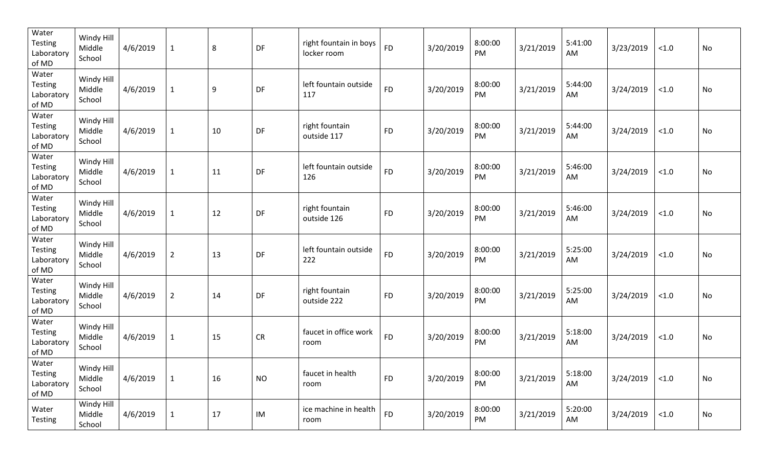| Water<br>Testing<br>Laboratory<br>of MD        | Windy Hill<br>Middle<br>School | 4/6/2019 | $\mathbf{1}$   | 8  | DF         | right fountain in boys<br>locker room | <b>FD</b> | 3/20/2019 | 8:00:00<br>PM | 3/21/2019 | 5:41:00<br>AM | 3/23/2019 | $<1.0$ | No |
|------------------------------------------------|--------------------------------|----------|----------------|----|------------|---------------------------------------|-----------|-----------|---------------|-----------|---------------|-----------|--------|----|
| Water<br>Testing<br>Laboratory<br>of MD        | Windy Hill<br>Middle<br>School | 4/6/2019 | $\mathbf{1}$   | 9  | DF         | left fountain outside<br>117          | <b>FD</b> | 3/20/2019 | 8:00:00<br>PM | 3/21/2019 | 5:44:00<br>AM | 3/24/2019 | $<1.0$ | No |
| Water<br>Testing<br>Laboratory<br>of MD        | Windy Hill<br>Middle<br>School | 4/6/2019 | $\mathbf{1}$   | 10 | DF         | right fountain<br>outside 117         | <b>FD</b> | 3/20/2019 | 8:00:00<br>PM | 3/21/2019 | 5:44:00<br>AM | 3/24/2019 | $<1.0$ | No |
| Water<br><b>Testing</b><br>Laboratory<br>of MD | Windy Hill<br>Middle<br>School | 4/6/2019 | $\mathbf{1}$   | 11 | DF         | left fountain outside<br>126          | <b>FD</b> | 3/20/2019 | 8:00:00<br>PM | 3/21/2019 | 5:46:00<br>AM | 3/24/2019 | $<1.0$ | No |
| Water<br><b>Testing</b><br>Laboratory<br>of MD | Windy Hill<br>Middle<br>School | 4/6/2019 | $\mathbf{1}$   | 12 | DF         | right fountain<br>outside 126         | <b>FD</b> | 3/20/2019 | 8:00:00<br>PM | 3/21/2019 | 5:46:00<br>AM | 3/24/2019 | $<1.0$ | No |
| Water<br><b>Testing</b><br>Laboratory<br>of MD | Windy Hill<br>Middle<br>School | 4/6/2019 | $\overline{2}$ | 13 | DF         | left fountain outside<br>222          | <b>FD</b> | 3/20/2019 | 8:00:00<br>PM | 3/21/2019 | 5:25:00<br>AM | 3/24/2019 | $<1.0$ | No |
| Water<br><b>Testing</b><br>Laboratory<br>of MD | Windy Hill<br>Middle<br>School | 4/6/2019 | $\overline{2}$ | 14 | DF         | right fountain<br>outside 222         | <b>FD</b> | 3/20/2019 | 8:00:00<br>PM | 3/21/2019 | 5:25:00<br>AM | 3/24/2019 | $<1.0$ | No |
| Water<br><b>Testing</b><br>Laboratory<br>of MD | Windy Hill<br>Middle<br>School | 4/6/2019 | $\mathbf{1}$   | 15 | ${\sf CR}$ | faucet in office work<br>room         | <b>FD</b> | 3/20/2019 | 8:00:00<br>PM | 3/21/2019 | 5:18:00<br>AM | 3/24/2019 | $<1.0$ | No |
| Water<br>Testing<br>Laboratory<br>of MD        | Windy Hill<br>Middle<br>School | 4/6/2019 | $\mathbf{1}$   | 16 | <b>NO</b>  | faucet in health<br>room              | <b>FD</b> | 3/20/2019 | 8:00:00<br>PM | 3/21/2019 | 5:18:00<br>AM | 3/24/2019 | $<1.0$ | No |
| Water<br>Testing                               | Windy Hill<br>Middle<br>School | 4/6/2019 | $\mathbf{1}$   | 17 | IM         | ice machine in health<br>room         | <b>FD</b> | 3/20/2019 | 8:00:00<br>PM | 3/21/2019 | 5:20:00<br>AM | 3/24/2019 | < 1.0  | No |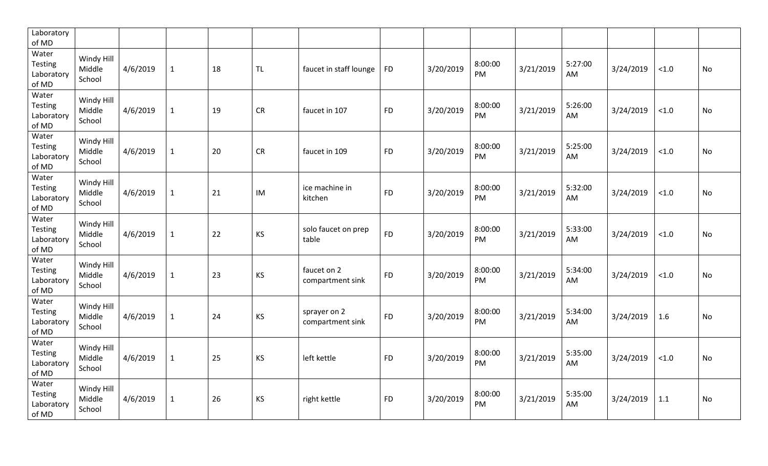| Laboratory<br>of MD                            |                                |          |              |    |           |                                  |           |           |               |           |               |           |        |           |
|------------------------------------------------|--------------------------------|----------|--------------|----|-----------|----------------------------------|-----------|-----------|---------------|-----------|---------------|-----------|--------|-----------|
| Water<br>Testing<br>Laboratory<br>of MD        | Windy Hill<br>Middle<br>School | 4/6/2019 | $\mathbf{1}$ | 18 | <b>TL</b> | faucet in staff lounge           | <b>FD</b> | 3/20/2019 | 8:00:00<br>PM | 3/21/2019 | 5:27:00<br>AM | 3/24/2019 | < 1.0  | <b>No</b> |
| Water<br><b>Testing</b><br>Laboratory<br>of MD | Windy Hill<br>Middle<br>School | 4/6/2019 | $\mathbf{1}$ | 19 | <b>CR</b> | faucet in 107                    | <b>FD</b> | 3/20/2019 | 8:00:00<br>PM | 3/21/2019 | 5:26:00<br>AM | 3/24/2019 | < 1.0  | No        |
| Water<br><b>Testing</b><br>Laboratory<br>of MD | Windy Hill<br>Middle<br>School | 4/6/2019 | $\mathbf{1}$ | 20 | <b>CR</b> | faucet in 109                    | <b>FD</b> | 3/20/2019 | 8:00:00<br>PM | 3/21/2019 | 5:25:00<br>AM | 3/24/2019 | $<1.0$ | No        |
| Water<br><b>Testing</b><br>Laboratory<br>of MD | Windy Hill<br>Middle<br>School | 4/6/2019 | $\mathbf{1}$ | 21 | IM        | ice machine in<br>kitchen        | <b>FD</b> | 3/20/2019 | 8:00:00<br>PM | 3/21/2019 | 5:32:00<br>AM | 3/24/2019 | < 1.0  | No        |
| Water<br>Testing<br>Laboratory<br>of MD        | Windy Hill<br>Middle<br>School | 4/6/2019 | $\mathbf{1}$ | 22 | KS        | solo faucet on prep<br>table     | <b>FD</b> | 3/20/2019 | 8:00:00<br>PM | 3/21/2019 | 5:33:00<br>AM | 3/24/2019 | $<1.0$ | No        |
| Water<br><b>Testing</b><br>Laboratory<br>of MD | Windy Hill<br>Middle<br>School | 4/6/2019 | $\mathbf{1}$ | 23 | KS        | faucet on 2<br>compartment sink  | <b>FD</b> | 3/20/2019 | 8:00:00<br>PM | 3/21/2019 | 5:34:00<br>AM | 3/24/2019 | < 1.0  | No        |
| Water<br>Testing<br>Laboratory<br>of MD        | Windy Hill<br>Middle<br>School | 4/6/2019 | $\mathbf{1}$ | 24 | KS        | sprayer on 2<br>compartment sink | <b>FD</b> | 3/20/2019 | 8:00:00<br>PM | 3/21/2019 | 5:34:00<br>AM | 3/24/2019 | 1.6    | <b>No</b> |
| Water<br><b>Testing</b><br>Laboratory<br>of MD | Windy Hill<br>Middle<br>School | 4/6/2019 | $\mathbf{1}$ | 25 | KS        | left kettle                      | <b>FD</b> | 3/20/2019 | 8:00:00<br>PM | 3/21/2019 | 5:35:00<br>AM | 3/24/2019 | < 1.0  | <b>No</b> |
| Water<br><b>Testing</b><br>Laboratory<br>of MD | Windy Hill<br>Middle<br>School | 4/6/2019 | $\mathbf{1}$ | 26 | <b>KS</b> | right kettle                     | <b>FD</b> | 3/20/2019 | 8:00:00<br>PM | 3/21/2019 | 5:35:00<br>AM | 3/24/2019 | 1.1    | <b>No</b> |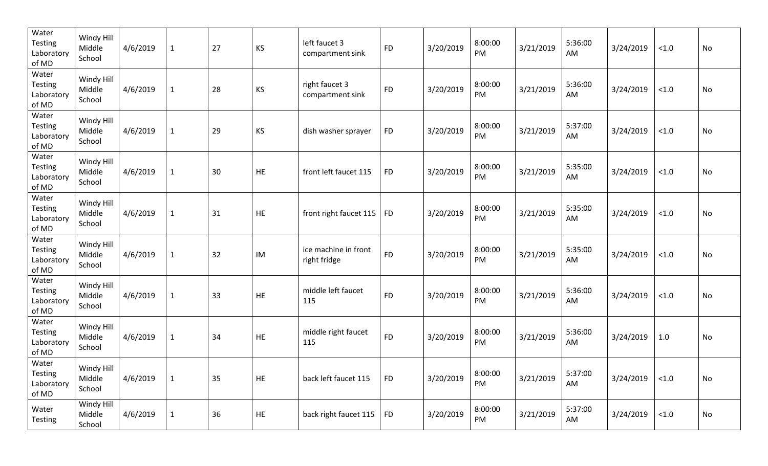| Water<br>Testing<br>Laboratory<br>of MD        | Windy Hill<br>Middle<br>School | 4/6/2019 | $\mathbf{1}$ | 27 | <b>KS</b>  | left faucet 3<br>compartment sink    | <b>FD</b> | 3/20/2019 | 8:00:00<br>PM | 3/21/2019 | 5:36:00<br>AM | 3/24/2019 | < 1.0  | No        |
|------------------------------------------------|--------------------------------|----------|--------------|----|------------|--------------------------------------|-----------|-----------|---------------|-----------|---------------|-----------|--------|-----------|
| Water<br><b>Testing</b><br>Laboratory<br>of MD | Windy Hill<br>Middle<br>School | 4/6/2019 | $\mathbf{1}$ | 28 | <b>KS</b>  | right faucet 3<br>compartment sink   | <b>FD</b> | 3/20/2019 | 8:00:00<br>PM | 3/21/2019 | 5:36:00<br>AM | 3/24/2019 | $<1.0$ | No        |
| Water<br>Testing<br>Laboratory<br>of MD        | Windy Hill<br>Middle<br>School | 4/6/2019 | $\mathbf{1}$ | 29 | KS         | dish washer sprayer                  | <b>FD</b> | 3/20/2019 | 8:00:00<br>PM | 3/21/2019 | 5:37:00<br>AM | 3/24/2019 | $<1.0$ | No        |
| Water<br><b>Testing</b><br>Laboratory<br>of MD | Windy Hill<br>Middle<br>School | 4/6/2019 | $\mathbf{1}$ | 30 | HE         | front left faucet 115                | <b>FD</b> | 3/20/2019 | 8:00:00<br>PM | 3/21/2019 | 5:35:00<br>AM | 3/24/2019 | $<1.0$ | No        |
| Water<br><b>Testing</b><br>Laboratory<br>of MD | Windy Hill<br>Middle<br>School | 4/6/2019 | $\mathbf 1$  | 31 | HE         | front right faucet 115               | <b>FD</b> | 3/20/2019 | 8:00:00<br>PM | 3/21/2019 | 5:35:00<br>AM | 3/24/2019 | $<1.0$ | No        |
| Water<br>Testing<br>Laboratory<br>of MD        | Windy Hill<br>Middle<br>School | 4/6/2019 | $\mathbf 1$  | 32 | IM         | ice machine in front<br>right fridge | <b>FD</b> | 3/20/2019 | 8:00:00<br>PM | 3/21/2019 | 5:35:00<br>AM | 3/24/2019 | $<1.0$ | <b>No</b> |
| Water<br><b>Testing</b><br>Laboratory<br>of MD | Windy Hill<br>Middle<br>School | 4/6/2019 | $\mathbf 1$  | 33 | HE         | middle left faucet<br>115            | <b>FD</b> | 3/20/2019 | 8:00:00<br>PM | 3/21/2019 | 5:36:00<br>AM | 3/24/2019 | $<1.0$ | <b>No</b> |
| Water<br><b>Testing</b><br>Laboratory<br>of MD | Windy Hill<br>Middle<br>School | 4/6/2019 | $\mathbf{1}$ | 34 | HE         | middle right faucet<br>115           | <b>FD</b> | 3/20/2019 | 8:00:00<br>PM | 3/21/2019 | 5:36:00<br>AM | 3/24/2019 | 1.0    | No        |
| Water<br>Testing<br>Laboratory<br>of MD        | Windy Hill<br>Middle<br>School | 4/6/2019 | $\mathbf{1}$ | 35 | HE         | back left faucet 115                 | <b>FD</b> | 3/20/2019 | 8:00:00<br>PM | 3/21/2019 | 5:37:00<br>AM | 3/24/2019 | $<1.0$ | No        |
| Water<br>Testing                               | Windy Hill<br>Middle<br>School | 4/6/2019 | $\mathbf{1}$ | 36 | ${\sf HE}$ | back right faucet 115                | <b>FD</b> | 3/20/2019 | 8:00:00<br>PM | 3/21/2019 | 5:37:00<br>AM | 3/24/2019 | < 1.0  | No        |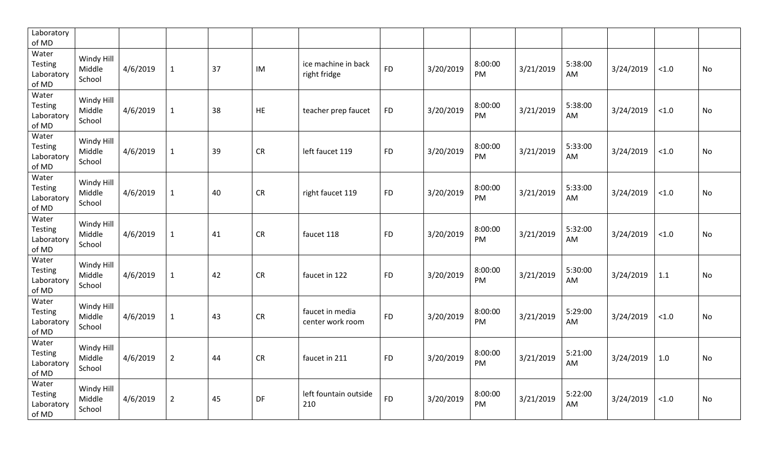| Laboratory<br>of MD                            |                                |          |                |    |           |                                     |           |           |               |           |               |           |        |           |
|------------------------------------------------|--------------------------------|----------|----------------|----|-----------|-------------------------------------|-----------|-----------|---------------|-----------|---------------|-----------|--------|-----------|
| Water<br>Testing<br>Laboratory<br>of MD        | Windy Hill<br>Middle<br>School | 4/6/2019 | $\mathbf{1}$   | 37 | IM        | ice machine in back<br>right fridge | <b>FD</b> | 3/20/2019 | 8:00:00<br>PM | 3/21/2019 | 5:38:00<br>AM | 3/24/2019 | < 1.0  | No        |
| Water<br>Testing<br>Laboratory<br>of MD        | Windy Hill<br>Middle<br>School | 4/6/2019 | $\mathbf{1}$   | 38 | <b>HE</b> | teacher prep faucet                 | <b>FD</b> | 3/20/2019 | 8:00:00<br>PM | 3/21/2019 | 5:38:00<br>AM | 3/24/2019 | < 1.0  | No        |
| Water<br><b>Testing</b><br>Laboratory<br>of MD | Windy Hill<br>Middle<br>School | 4/6/2019 | $\mathbf{1}$   | 39 | <b>CR</b> | left faucet 119                     | <b>FD</b> | 3/20/2019 | 8:00:00<br>PM | 3/21/2019 | 5:33:00<br>AM | 3/24/2019 | $<1.0$ | No        |
| Water<br><b>Testing</b><br>Laboratory<br>of MD | Windy Hill<br>Middle<br>School | 4/6/2019 | $\mathbf{1}$   | 40 | <b>CR</b> | right faucet 119                    | <b>FD</b> | 3/20/2019 | 8:00:00<br>PM | 3/21/2019 | 5:33:00<br>AM | 3/24/2019 | < 1.0  | No        |
| Water<br>Testing<br>Laboratory<br>of MD        | Windy Hill<br>Middle<br>School | 4/6/2019 | $\mathbf{1}$   | 41 | <b>CR</b> | faucet 118                          | <b>FD</b> | 3/20/2019 | 8:00:00<br>PM | 3/21/2019 | 5:32:00<br>AM | 3/24/2019 | $<1.0$ | No        |
| Water<br><b>Testing</b><br>Laboratory<br>of MD | Windy Hill<br>Middle<br>School | 4/6/2019 | $\mathbf{1}$   | 42 | CR        | faucet in 122                       | <b>FD</b> | 3/20/2019 | 8:00:00<br>PM | 3/21/2019 | 5:30:00<br>AM | 3/24/2019 | 1.1    | No        |
| Water<br>Testing<br>Laboratory<br>of MD        | Windy Hill<br>Middle<br>School | 4/6/2019 | $\mathbf{1}$   | 43 | CR        | faucet in media<br>center work room | <b>FD</b> | 3/20/2019 | 8:00:00<br>PM | 3/21/2019 | 5:29:00<br>AM | 3/24/2019 | < 1.0  | <b>No</b> |
| Water<br>Testing<br>Laboratory<br>of MD        | Windy Hill<br>Middle<br>School | 4/6/2019 | $\overline{2}$ | 44 | <b>CR</b> | faucet in 211                       | <b>FD</b> | 3/20/2019 | 8:00:00<br>PM | 3/21/2019 | 5:21:00<br>AM | 3/24/2019 | 1.0    | No        |
| Water<br><b>Testing</b><br>Laboratory<br>of MD | Windy Hill<br>Middle<br>School | 4/6/2019 | $\overline{2}$ | 45 | DF        | left fountain outside<br>210        | <b>FD</b> | 3/20/2019 | 8:00:00<br>PM | 3/21/2019 | 5:22:00<br>AM | 3/24/2019 | < 1.0  | <b>No</b> |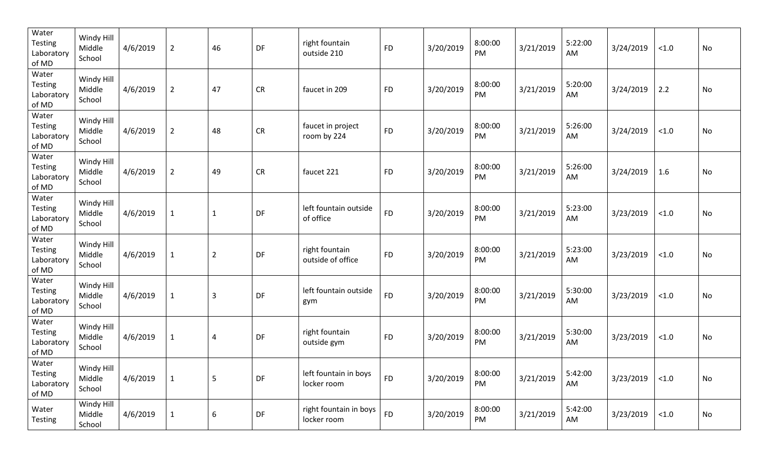| Water<br>Testing<br>Laboratory<br>of MD        | Windy Hill<br>Middle<br>School | 4/6/2019 | $\overline{2}$ | 46             | DF         | right fountain<br>outside 210         | <b>FD</b> | 3/20/2019 | 8:00:00<br>PM | 3/21/2019 | 5:22:00<br>AM | 3/24/2019 | $<1.0$ | No        |
|------------------------------------------------|--------------------------------|----------|----------------|----------------|------------|---------------------------------------|-----------|-----------|---------------|-----------|---------------|-----------|--------|-----------|
| Water<br><b>Testing</b><br>Laboratory<br>of MD | Windy Hill<br>Middle<br>School | 4/6/2019 | $\overline{2}$ | 47             | CR         | faucet in 209                         | <b>FD</b> | 3/20/2019 | 8:00:00<br>PM | 3/21/2019 | 5:20:00<br>AM | 3/24/2019 | 2.2    | No        |
| Water<br>Testing<br>Laboratory<br>of MD        | Windy Hill<br>Middle<br>School | 4/6/2019 | $\overline{2}$ | 48             | ${\sf CR}$ | faucet in project<br>room by 224      | <b>FD</b> | 3/20/2019 | 8:00:00<br>PM | 3/21/2019 | 5:26:00<br>AM | 3/24/2019 | $<1.0$ | No        |
| Water<br><b>Testing</b><br>Laboratory<br>of MD | Windy Hill<br>Middle<br>School | 4/6/2019 | $\overline{2}$ | 49             | ${\sf CR}$ | faucet 221                            | <b>FD</b> | 3/20/2019 | 8:00:00<br>PM | 3/21/2019 | 5:26:00<br>AM | 3/24/2019 | 1.6    | No        |
| Water<br><b>Testing</b><br>Laboratory<br>of MD | Windy Hill<br>Middle<br>School | 4/6/2019 | $\mathbf 1$    | $\mathbf{1}$   | DF         | left fountain outside<br>of office    | <b>FD</b> | 3/20/2019 | 8:00:00<br>PM | 3/21/2019 | 5:23:00<br>AM | 3/23/2019 | $<1.0$ | No        |
| Water<br>Testing<br>Laboratory<br>of MD        | Windy Hill<br>Middle<br>School | 4/6/2019 | $\mathbf 1$    | $\overline{2}$ | DF         | right fountain<br>outside of office   | <b>FD</b> | 3/20/2019 | 8:00:00<br>PM | 3/21/2019 | 5:23:00<br>AM | 3/23/2019 | $<1.0$ | No        |
| Water<br><b>Testing</b><br>Laboratory<br>of MD | Windy Hill<br>Middle<br>School | 4/6/2019 | $\mathbf 1$    | $\overline{3}$ | DF         | left fountain outside<br>gym          | <b>FD</b> | 3/20/2019 | 8:00:00<br>PM | 3/21/2019 | 5:30:00<br>AM | 3/23/2019 | $<1.0$ | <b>No</b> |
| Water<br><b>Testing</b><br>Laboratory<br>of MD | Windy Hill<br>Middle<br>School | 4/6/2019 | $\mathbf{1}$   | $\overline{4}$ | DF         | right fountain<br>outside gym         | <b>FD</b> | 3/20/2019 | 8:00:00<br>PM | 3/21/2019 | 5:30:00<br>AM | 3/23/2019 | $<1.0$ | No        |
| Water<br>Testing<br>Laboratory<br>of MD        | Windy Hill<br>Middle<br>School | 4/6/2019 | $\mathbf{1}$   | 5              | DF         | left fountain in boys<br>locker room  | <b>FD</b> | 3/20/2019 | 8:00:00<br>PM | 3/21/2019 | 5:42:00<br>AM | 3/23/2019 | $<1.0$ | No        |
| Water<br>Testing                               | Windy Hill<br>Middle<br>School | 4/6/2019 | $\mathbf{1}$   | 6              | DF         | right fountain in boys<br>locker room | <b>FD</b> | 3/20/2019 | 8:00:00<br>PM | 3/21/2019 | 5:42:00<br>AM | 3/23/2019 | < 1.0  | No        |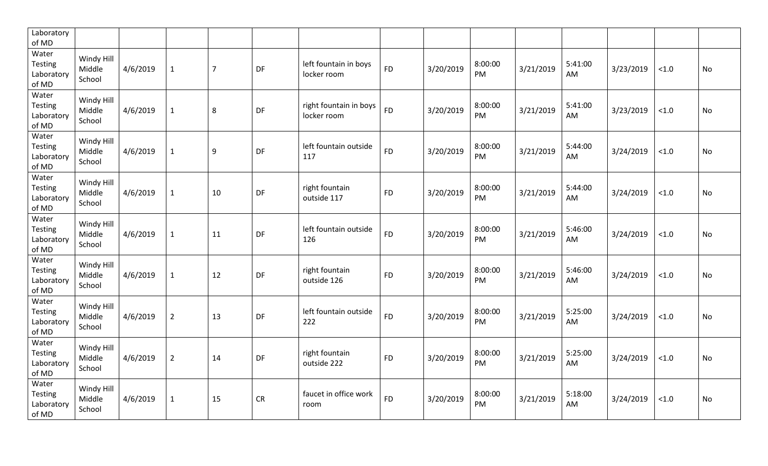| Laboratory<br>of MD                            |                                |          |                |                |           |                                       |           |           |               |           |               |           |        |           |
|------------------------------------------------|--------------------------------|----------|----------------|----------------|-----------|---------------------------------------|-----------|-----------|---------------|-----------|---------------|-----------|--------|-----------|
| Water<br>Testing<br>Laboratory<br>of MD        | Windy Hill<br>Middle<br>School | 4/6/2019 | $\mathbf{1}$   | $\overline{7}$ | DF        | left fountain in boys<br>locker room  | <b>FD</b> | 3/20/2019 | 8:00:00<br>PM | 3/21/2019 | 5:41:00<br>AM | 3/23/2019 | < 1.0  | <b>No</b> |
| Water<br><b>Testing</b><br>Laboratory<br>of MD | Windy Hill<br>Middle<br>School | 4/6/2019 | $\mathbf{1}$   | 8              | DF        | right fountain in boys<br>locker room | <b>FD</b> | 3/20/2019 | 8:00:00<br>PM | 3/21/2019 | 5:41:00<br>AM | 3/23/2019 | < 1.0  | No        |
| Water<br><b>Testing</b><br>Laboratory<br>of MD | Windy Hill<br>Middle<br>School | 4/6/2019 | $\mathbf{1}$   | 9              | DF        | left fountain outside<br>117          | <b>FD</b> | 3/20/2019 | 8:00:00<br>PM | 3/21/2019 | 5:44:00<br>AM | 3/24/2019 | $<1.0$ | No        |
| Water<br><b>Testing</b><br>Laboratory<br>of MD | Windy Hill<br>Middle<br>School | 4/6/2019 | $\mathbf{1}$   | 10             | DF        | right fountain<br>outside 117         | <b>FD</b> | 3/20/2019 | 8:00:00<br>PM | 3/21/2019 | 5:44:00<br>AM | 3/24/2019 | < 1.0  | No        |
| Water<br><b>Testing</b><br>Laboratory<br>of MD | Windy Hill<br>Middle<br>School | 4/6/2019 | $\mathbf{1}$   | 11             | DF        | left fountain outside<br>126          | <b>FD</b> | 3/20/2019 | 8:00:00<br>PM | 3/21/2019 | 5:46:00<br>AM | 3/24/2019 | $<1.0$ | No        |
| Water<br><b>Testing</b><br>Laboratory<br>of MD | Windy Hill<br>Middle<br>School | 4/6/2019 | $\mathbf{1}$   | 12             | DF        | right fountain<br>outside 126         | <b>FD</b> | 3/20/2019 | 8:00:00<br>PM | 3/21/2019 | 5:46:00<br>AM | 3/24/2019 | < 1.0  | No        |
| Water<br>Testing<br>Laboratory<br>of MD        | Windy Hill<br>Middle<br>School | 4/6/2019 | $\overline{2}$ | 13             | <b>DF</b> | left fountain outside<br>222          | <b>FD</b> | 3/20/2019 | 8:00:00<br>PM | 3/21/2019 | 5:25:00<br>AM | 3/24/2019 | < 1.0  | <b>No</b> |
| Water<br>Testing<br>Laboratory<br>of MD        | Windy Hill<br>Middle<br>School | 4/6/2019 | $\overline{2}$ | 14             | DF        | right fountain<br>outside 222         | <b>FD</b> | 3/20/2019 | 8:00:00<br>PM | 3/21/2019 | 5:25:00<br>AM | 3/24/2019 | < 1.0  | <b>No</b> |
| Water<br><b>Testing</b><br>Laboratory<br>of MD | Windy Hill<br>Middle<br>School | 4/6/2019 | $\mathbf{1}$   | 15             | <b>CR</b> | faucet in office work<br>room         | <b>FD</b> | 3/20/2019 | 8:00:00<br>PM | 3/21/2019 | 5:18:00<br>AM | 3/24/2019 | < 1.0  | <b>No</b> |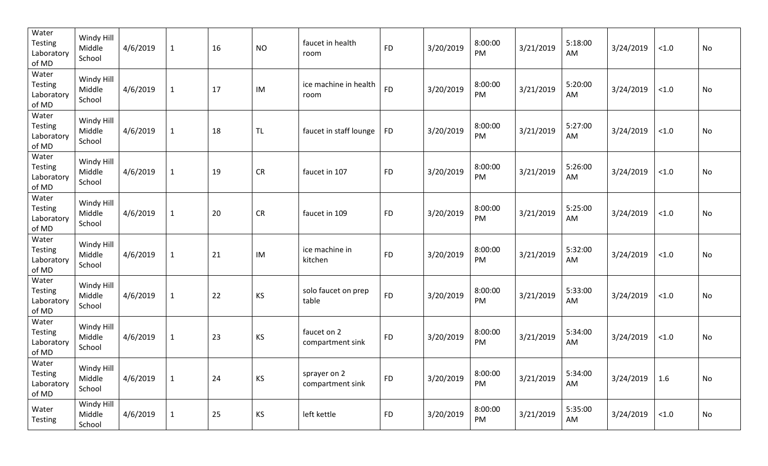| Water<br>Testing<br>Laboratory<br>of MD        | Windy Hill<br>Middle<br>School | 4/6/2019 | $\mathbf{1}$ | 16 | <b>NO</b> | faucet in health<br>room         | <b>FD</b> | 3/20/2019 | 8:00:00<br>PM | 3/21/2019 | 5:18:00<br>AM | 3/24/2019 | $<1.0$ | No        |
|------------------------------------------------|--------------------------------|----------|--------------|----|-----------|----------------------------------|-----------|-----------|---------------|-----------|---------------|-----------|--------|-----------|
| Water<br><b>Testing</b><br>Laboratory<br>of MD | Windy Hill<br>Middle<br>School | 4/6/2019 | $\mathbf{1}$ | 17 | IM        | ice machine in health<br>room    | <b>FD</b> | 3/20/2019 | 8:00:00<br>PM | 3/21/2019 | 5:20:00<br>AM | 3/24/2019 | $<1.0$ | No        |
| Water<br>Testing<br>Laboratory<br>of MD        | Windy Hill<br>Middle<br>School | 4/6/2019 | $\mathbf{1}$ | 18 | TL        | faucet in staff lounge           | <b>FD</b> | 3/20/2019 | 8:00:00<br>PM | 3/21/2019 | 5:27:00<br>AM | 3/24/2019 | $<1.0$ | No        |
| Water<br>Testing<br>Laboratory<br>of MD        | Windy Hill<br>Middle<br>School | 4/6/2019 | $\mathbf{1}$ | 19 | <b>CR</b> | faucet in 107                    | <b>FD</b> | 3/20/2019 | 8:00:00<br>PM | 3/21/2019 | 5:26:00<br>AM | 3/24/2019 | $<1.0$ | No        |
| Water<br><b>Testing</b><br>Laboratory<br>of MD | Windy Hill<br>Middle<br>School | 4/6/2019 | $\mathbf 1$  | 20 | CR        | faucet in 109                    | <b>FD</b> | 3/20/2019 | 8:00:00<br>PM | 3/21/2019 | 5:25:00<br>AM | 3/24/2019 | $<1.0$ | No        |
| Water<br><b>Testing</b><br>Laboratory<br>of MD | Windy Hill<br>Middle<br>School | 4/6/2019 | $\mathbf{1}$ | 21 | IM        | ice machine in<br>kitchen        | <b>FD</b> | 3/20/2019 | 8:00:00<br>PM | 3/21/2019 | 5:32:00<br>AM | 3/24/2019 | $<1.0$ | No        |
| Water<br><b>Testing</b><br>Laboratory<br>of MD | Windy Hill<br>Middle<br>School | 4/6/2019 | $\mathbf 1$  | 22 | KS        | solo faucet on prep<br>table     | <b>FD</b> | 3/20/2019 | 8:00:00<br>PM | 3/21/2019 | 5:33:00<br>AM | 3/24/2019 | $<1.0$ | <b>No</b> |
| Water<br><b>Testing</b><br>Laboratory<br>of MD | Windy Hill<br>Middle<br>School | 4/6/2019 | $\mathbf{1}$ | 23 | KS        | faucet on 2<br>compartment sink  | <b>FD</b> | 3/20/2019 | 8:00:00<br>PM | 3/21/2019 | 5:34:00<br>AM | 3/24/2019 | $<1.0$ | No        |
| Water<br>Testing<br>Laboratory<br>of MD        | Windy Hill<br>Middle<br>School | 4/6/2019 | $\mathbf{1}$ | 24 | <b>KS</b> | sprayer on 2<br>compartment sink | <b>FD</b> | 3/20/2019 | 8:00:00<br>PM | 3/21/2019 | 5:34:00<br>AM | 3/24/2019 | 1.6    | No        |
| Water<br>Testing                               | Windy Hill<br>Middle<br>School | 4/6/2019 | $\mathbf{1}$ | 25 | <b>KS</b> | left kettle                      | <b>FD</b> | 3/20/2019 | 8:00:00<br>PM | 3/21/2019 | 5:35:00<br>AM | 3/24/2019 | < 1.0  | No        |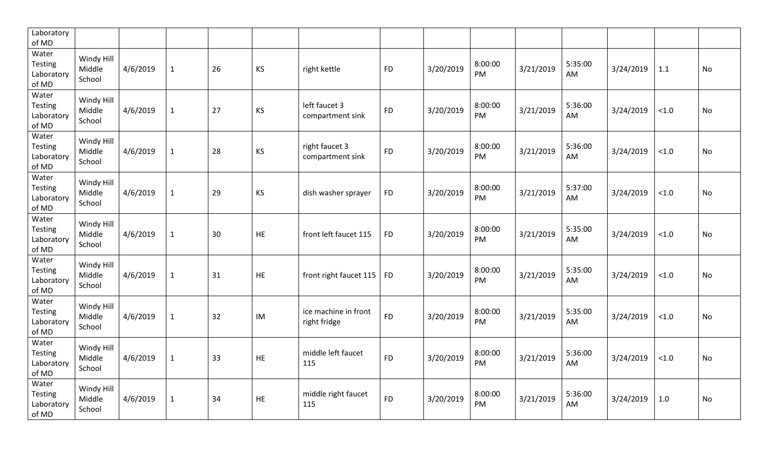| Laboratory<br>of MD                            |                                |          |              |    |           |                                      |           |           |                      |           |                |           |        |           |
|------------------------------------------------|--------------------------------|----------|--------------|----|-----------|--------------------------------------|-----------|-----------|----------------------|-----------|----------------|-----------|--------|-----------|
| Water<br>Testing<br>Laboratory<br>of MD        | Windy Hill<br>Middle<br>School | 4/6/2019 | $\mathbf{1}$ | 26 | <b>KS</b> | right kettle                         | <b>FD</b> | 3/20/2019 | 8:00:00<br><b>PM</b> | 3/21/2019 | 5:35:00<br>AM  | 3/24/2019 | 1.1    | No        |
| Water<br><b>Testing</b><br>Laboratory<br>of MD | Windy Hill<br>Middle<br>School | 4/6/2019 | $\mathbf{1}$ | 27 | KS        | left faucet 3<br>compartment sink    | <b>FD</b> | 3/20/2019 | 8:00:00<br>PM        | 3/21/2019 | 5:36:00<br>AM. | 3/24/2019 | $<1.0$ | No        |
| Water<br><b>Testing</b><br>Laboratory<br>of MD | Windy Hill<br>Middle<br>School | 4/6/2019 | $\mathbf{1}$ | 28 | KS        | right faucet 3<br>compartment sink   | <b>FD</b> | 3/20/2019 | 8:00:00<br>PM        | 3/21/2019 | 5:36:00<br>AM  | 3/24/2019 | $<1.0$ | No        |
| Water<br><b>Testing</b><br>Laboratory<br>of MD | Windy Hill<br>Middle<br>School | 4/6/2019 | $\mathbf{1}$ | 29 | KS        | dish washer sprayer                  | <b>FD</b> | 3/20/2019 | 8:00:00<br>PM        | 3/21/2019 | 5:37:00<br>AM  | 3/24/2019 | $<1.0$ | No        |
| Water<br><b>Testing</b><br>Laboratory<br>of MD | Windy Hill<br>Middle<br>School | 4/6/2019 | $\mathbf{1}$ | 30 | HE        | front left faucet 115                | <b>FD</b> | 3/20/2019 | 8:00:00<br>PM        | 3/21/2019 | 5:35:00<br>AM  | 3/24/2019 | $<1.0$ | No        |
| Water<br><b>Testing</b><br>Laboratory<br>of MD | Windy Hill<br>Middle<br>School | 4/6/2019 | $\mathbf{1}$ | 31 | <b>HE</b> | front right faucet 115               | <b>FD</b> | 3/20/2019 | 8:00:00<br>PM        | 3/21/2019 | 5:35:00<br>AM  | 3/24/2019 | $<1.0$ | No        |
| Water<br>Testing<br>Laboratory<br>of MD        | Windy Hill<br>Middle<br>School | 4/6/2019 | $\mathbf{1}$ | 32 | IM        | ice machine in front<br>right fridge | <b>FD</b> | 3/20/2019 | 8:00:00<br>PM        | 3/21/2019 | 5:35:00<br>AM  | 3/24/2019 | < 1.0  | <b>No</b> |
| Water<br>Testing<br>Laboratory<br>of MD        | Windy Hill<br>Middle<br>School | 4/6/2019 | $\mathbf{1}$ | 33 | HE        | middle left faucet<br>115            | <b>FD</b> | 3/20/2019 | 8:00:00<br>PM        | 3/21/2019 | 5:36:00<br>AM  | 3/24/2019 | $<1.0$ | <b>No</b> |
| Water<br><b>Testing</b><br>Laboratory<br>of MD | Windy Hill<br>Middle<br>School | 4/6/2019 | $\mathbf{1}$ | 34 | HE        | middle right faucet<br>115           | <b>FD</b> | 3/20/2019 | 8:00:00<br>PM        | 3/21/2019 | 5:36:00<br>AM. | 3/24/2019 | 1.0    | No        |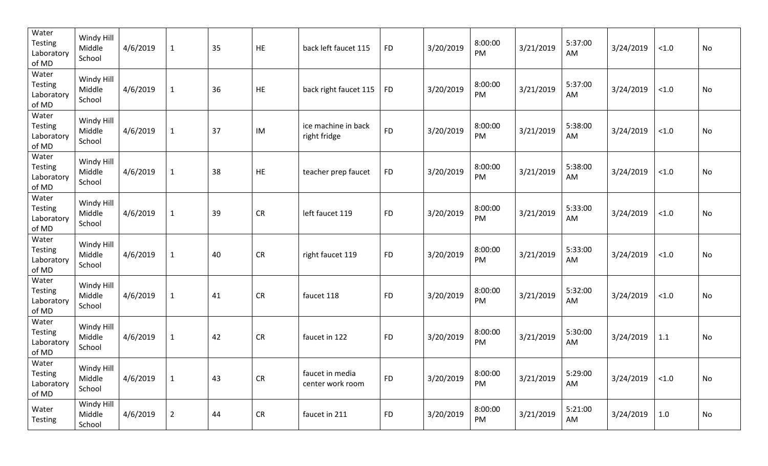| Water<br><b>Testing</b><br>Laboratory<br>of MD | Windy Hill<br>Middle<br>School | 4/6/2019 | $\mathbf{1}$   | 35 | HE         | back left faucet 115                | <b>FD</b> | 3/20/2019 | 8:00:00<br>PM | 3/21/2019 | 5:37:00<br>AM | 3/24/2019 | < 1.0  | No |
|------------------------------------------------|--------------------------------|----------|----------------|----|------------|-------------------------------------|-----------|-----------|---------------|-----------|---------------|-----------|--------|----|
| Water<br>Testing<br>Laboratory<br>of MD        | Windy Hill<br>Middle<br>School | 4/6/2019 | $\mathbf{1}$   | 36 | HE         | back right faucet 115               | <b>FD</b> | 3/20/2019 | 8:00:00<br>PM | 3/21/2019 | 5:37:00<br>AM | 3/24/2019 | < 1.0  | No |
| Water<br><b>Testing</b><br>Laboratory<br>of MD | Windy Hill<br>Middle<br>School | 4/6/2019 | $\mathbf{1}$   | 37 | IM         | ice machine in back<br>right fridge | <b>FD</b> | 3/20/2019 | 8:00:00<br>PM | 3/21/2019 | 5:38:00<br>AM | 3/24/2019 | < 1.0  | No |
| Water<br>Testing<br>Laboratory<br>of MD        | Windy Hill<br>Middle<br>School | 4/6/2019 | $\mathbf{1}$   | 38 | HE         | teacher prep faucet                 | <b>FD</b> | 3/20/2019 | 8:00:00<br>PM | 3/21/2019 | 5:38:00<br>AM | 3/24/2019 | < 1.0  | No |
| Water<br>Testing<br>Laboratory<br>of MD        | Windy Hill<br>Middle<br>School | 4/6/2019 | $\mathbf{1}$   | 39 | CR         | left faucet 119                     | <b>FD</b> | 3/20/2019 | 8:00:00<br>PM | 3/21/2019 | 5:33:00<br>AM | 3/24/2019 | $<1.0$ | No |
| Water<br>Testing<br>Laboratory<br>of MD        | Windy Hill<br>Middle<br>School | 4/6/2019 | $\mathbf{1}$   | 40 | CR         | right faucet 119                    | <b>FD</b> | 3/20/2019 | 8:00:00<br>PM | 3/21/2019 | 5:33:00<br>AM | 3/24/2019 | $<1.0$ | No |
| Water<br>Testing<br>Laboratory<br>of MD        | Windy Hill<br>Middle<br>School | 4/6/2019 | $\mathbf{1}$   | 41 | CR         | faucet 118                          | <b>FD</b> | 3/20/2019 | 8:00:00<br>PM | 3/21/2019 | 5:32:00<br>AM | 3/24/2019 | $<1.0$ | No |
| Water<br>Testing<br>Laboratory<br>of MD        | Windy Hill<br>Middle<br>School | 4/6/2019 | $\mathbf{1}$   | 42 | CR         | faucet in 122                       | <b>FD</b> | 3/20/2019 | 8:00:00<br>PM | 3/21/2019 | 5:30:00<br>AM | 3/24/2019 | 1.1    | No |
| Water<br><b>Testing</b><br>Laboratory<br>of MD | Windy Hill<br>Middle<br>School | 4/6/2019 | $\mathbf{1}$   | 43 | ${\sf CR}$ | faucet in media<br>center work room | <b>FD</b> | 3/20/2019 | 8:00:00<br>PM | 3/21/2019 | 5:29:00<br>AM | 3/24/2019 | < 1.0  | No |
| Water<br><b>Testing</b>                        | Windy Hill<br>Middle<br>School | 4/6/2019 | $\overline{2}$ | 44 | CR         | faucet in 211                       | <b>FD</b> | 3/20/2019 | 8:00:00<br>PM | 3/21/2019 | 5:21:00<br>AM | 3/24/2019 | 1.0    | No |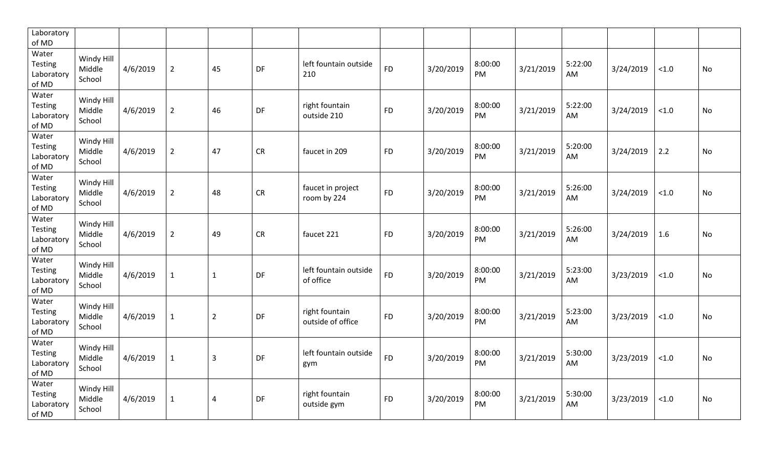| Laboratory<br>of MD                            |                                |          |                |                |           |                                     |           |           |                      |           |               |           |       |           |
|------------------------------------------------|--------------------------------|----------|----------------|----------------|-----------|-------------------------------------|-----------|-----------|----------------------|-----------|---------------|-----------|-------|-----------|
| Water<br>Testing<br>Laboratory<br>of MD        | Windy Hill<br>Middle<br>School | 4/6/2019 | $\overline{2}$ | 45             | DF        | left fountain outside<br>210        | <b>FD</b> | 3/20/2019 | 8:00:00<br>PM        | 3/21/2019 | 5:22:00<br>AM | 3/24/2019 | < 1.0 | <b>No</b> |
| Water<br>Testing<br>Laboratory<br>of MD        | Windy Hill<br>Middle<br>School | 4/6/2019 | $\overline{2}$ | 46             | DF        | right fountain<br>outside 210       | <b>FD</b> | 3/20/2019 | 8:00:00<br>PM        | 3/21/2019 | 5:22:00<br>AM | 3/24/2019 | < 1.0 | <b>No</b> |
| Water<br><b>Testing</b><br>Laboratory<br>of MD | Windy Hill<br>Middle<br>School | 4/6/2019 | $\overline{2}$ | 47             | <b>CR</b> | faucet in 209                       | <b>FD</b> | 3/20/2019 | 8:00:00<br>PM        | 3/21/2019 | 5:20:00<br>AM | 3/24/2019 | 2.2   | No        |
| Water<br>Testing<br>Laboratory<br>of MD        | Windy Hill<br>Middle<br>School | 4/6/2019 | $\overline{2}$ | 48             | <b>CR</b> | faucet in project<br>room by 224    | <b>FD</b> | 3/20/2019 | 8:00:00<br>PM        | 3/21/2019 | 5:26:00<br>AM | 3/24/2019 | < 1.0 | No        |
| Water<br>Testing<br>Laboratory<br>of MD        | Windy Hill<br>Middle<br>School | 4/6/2019 | $\overline{2}$ | 49             | <b>CR</b> | faucet 221                          | <b>FD</b> | 3/20/2019 | 8:00:00<br>PM        | 3/21/2019 | 5:26:00<br>AM | 3/24/2019 | 1.6   | No        |
| Water<br><b>Testing</b><br>Laboratory<br>of MD | Windy Hill<br>Middle<br>School | 4/6/2019 | $\mathbf{1}$   | $\mathbf{1}$   | DF        | left fountain outside<br>of office  | <b>FD</b> | 3/20/2019 | 8:00:00<br>PM        | 3/21/2019 | 5:23:00<br>AM | 3/23/2019 | < 1.0 | No        |
| Water<br>Testing<br>Laboratory<br>of MD        | Windy Hill<br>Middle<br>School | 4/6/2019 | $\mathbf{1}$   | $\overline{2}$ | DF        | right fountain<br>outside of office | <b>FD</b> | 3/20/2019 | 8:00:00<br>PM        | 3/21/2019 | 5:23:00<br>AM | 3/23/2019 | < 1.0 | <b>No</b> |
| Water<br><b>Testing</b><br>Laboratory<br>of MD | Windy Hill<br>Middle<br>School | 4/6/2019 | $\mathbf 1$    | $\overline{3}$ | DF        | left fountain outside<br>gym        | <b>FD</b> | 3/20/2019 | 8:00:00<br>PM        | 3/21/2019 | 5:30:00<br>AM | 3/23/2019 | < 1.0 | <b>No</b> |
| Water<br><b>Testing</b><br>Laboratory<br>of MD | Windy Hill<br>Middle<br>School | 4/6/2019 | $\mathbf{1}$   | $\overline{4}$ | DF        | right fountain<br>outside gym       | <b>FD</b> | 3/20/2019 | 8:00:00<br><b>PM</b> | 3/21/2019 | 5:30:00<br>AM | 3/23/2019 | < 1.0 | <b>No</b> |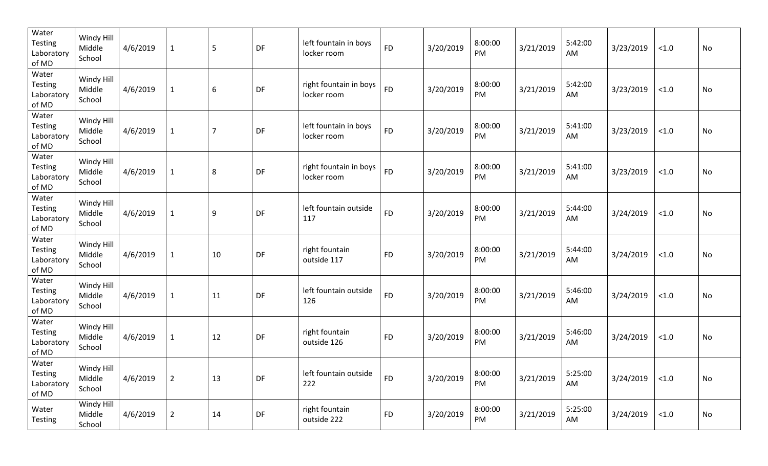| Water<br><b>Testing</b><br>Laboratory<br>of MD | Windy Hill<br>Middle<br>School | 4/6/2019 | $\mathbf{1}$   | 5                | DF | left fountain in boys<br>locker room  | <b>FD</b> | 3/20/2019 | 8:00:00<br>PM | 3/21/2019 | 5:42:00<br>AM | 3/23/2019 | $<1.0$ | No |
|------------------------------------------------|--------------------------------|----------|----------------|------------------|----|---------------------------------------|-----------|-----------|---------------|-----------|---------------|-----------|--------|----|
| Water<br><b>Testing</b><br>Laboratory<br>of MD | Windy Hill<br>Middle<br>School | 4/6/2019 | $\mathbf{1}$   | $\boldsymbol{6}$ | DF | right fountain in boys<br>locker room | <b>FD</b> | 3/20/2019 | 8:00:00<br>PM | 3/21/2019 | 5:42:00<br>AM | 3/23/2019 | $<1.0$ | No |
| Water<br><b>Testing</b><br>Laboratory<br>of MD | Windy Hill<br>Middle<br>School | 4/6/2019 | $\mathbf{1}$   | $\overline{7}$   | DF | left fountain in boys<br>locker room  | <b>FD</b> | 3/20/2019 | 8:00:00<br>PM | 3/21/2019 | 5:41:00<br>AM | 3/23/2019 | < 1.0  | No |
| Water<br><b>Testing</b><br>Laboratory<br>of MD | Windy Hill<br>Middle<br>School | 4/6/2019 | $\mathbf{1}$   | 8                | DF | right fountain in boys<br>locker room | <b>FD</b> | 3/20/2019 | 8:00:00<br>PM | 3/21/2019 | 5:41:00<br>AM | 3/23/2019 | < 1.0  | No |
| Water<br><b>Testing</b><br>Laboratory<br>of MD | Windy Hill<br>Middle<br>School | 4/6/2019 | $\mathbf{1}$   | 9                | DF | left fountain outside<br>117          | <b>FD</b> | 3/20/2019 | 8:00:00<br>PM | 3/21/2019 | 5:44:00<br>AM | 3/24/2019 | < 1.0  | No |
| Water<br><b>Testing</b><br>Laboratory<br>of MD | Windy Hill<br>Middle<br>School | 4/6/2019 | $\mathbf{1}$   | 10               | DF | right fountain<br>outside 117         | <b>FD</b> | 3/20/2019 | 8:00:00<br>PM | 3/21/2019 | 5:44:00<br>AM | 3/24/2019 | $<1.0$ | No |
| Water<br><b>Testing</b><br>Laboratory<br>of MD | Windy Hill<br>Middle<br>School | 4/6/2019 | $\mathbf{1}$   | 11               | DF | left fountain outside<br>126          | <b>FD</b> | 3/20/2019 | 8:00:00<br>PM | 3/21/2019 | 5:46:00<br>AM | 3/24/2019 | $<1.0$ | No |
| Water<br><b>Testing</b><br>Laboratory<br>of MD | Windy Hill<br>Middle<br>School | 4/6/2019 | $\mathbf 1$    | 12               | DF | right fountain<br>outside 126         | <b>FD</b> | 3/20/2019 | 8:00:00<br>PM | 3/21/2019 | 5:46:00<br>AM | 3/24/2019 | $<1.0$ | No |
| Water<br>Testing<br>Laboratory<br>of MD        | Windy Hill<br>Middle<br>School | 4/6/2019 | $\overline{2}$ | 13               | DF | left fountain outside<br>222          | <b>FD</b> | 3/20/2019 | 8:00:00<br>PM | 3/21/2019 | 5:25:00<br>AM | 3/24/2019 | $<1.0$ | No |
| Water<br>Testing                               | Windy Hill<br>Middle<br>School | 4/6/2019 | $\overline{2}$ | 14               | DF | right fountain<br>outside 222         | <b>FD</b> | 3/20/2019 | 8:00:00<br>PM | 3/21/2019 | 5:25:00<br>AM | 3/24/2019 | < 1.0  | No |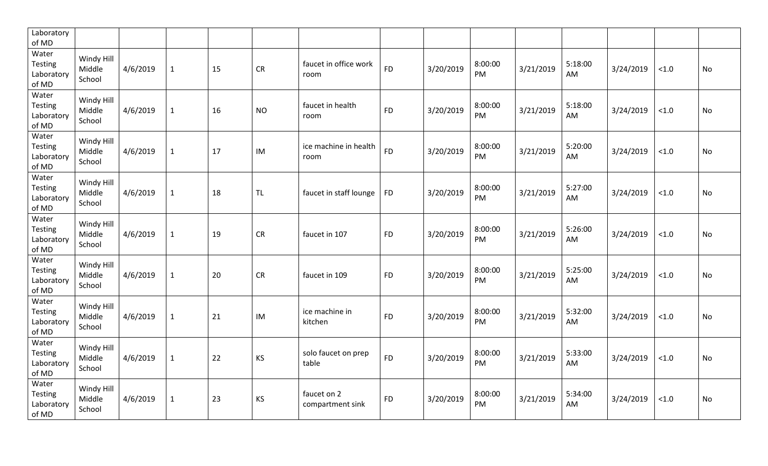| Laboratory<br>of MD                            |                                |          |              |    |           |                                 |           |           |                      |           |                |           |       |           |
|------------------------------------------------|--------------------------------|----------|--------------|----|-----------|---------------------------------|-----------|-----------|----------------------|-----------|----------------|-----------|-------|-----------|
| Water<br>Testing<br>Laboratory<br>of MD        | Windy Hill<br>Middle<br>School | 4/6/2019 | $\mathbf{1}$ | 15 | <b>CR</b> | faucet in office work<br>room   | <b>FD</b> | 3/20/2019 | 8:00:00<br>PM        | 3/21/2019 | 5:18:00<br>AM  | 3/24/2019 | < 1.0 | <b>No</b> |
| Water<br>Testing<br>Laboratory<br>of MD        | Windy Hill<br>Middle<br>School | 4/6/2019 | $\mathbf{1}$ | 16 | <b>NO</b> | faucet in health<br>room        | <b>FD</b> | 3/20/2019 | 8:00:00<br><b>PM</b> | 3/21/2019 | 5:18:00<br>AM. | 3/24/2019 | < 1.0 | <b>No</b> |
| Water<br><b>Testing</b><br>Laboratory<br>of MD | Windy Hill<br>Middle<br>School | 4/6/2019 | $\mathbf{1}$ | 17 | IM        | ice machine in health<br>room   | <b>FD</b> | 3/20/2019 | 8:00:00<br>PM        | 3/21/2019 | 5:20:00<br>AM  | 3/24/2019 | < 1.0 | No        |
| Water<br><b>Testing</b><br>Laboratory<br>of MD | Windy Hill<br>Middle<br>School | 4/6/2019 | $\mathbf{1}$ | 18 | <b>TL</b> | faucet in staff lounge          | <b>FD</b> | 3/20/2019 | 8:00:00<br>PM        | 3/21/2019 | 5:27:00<br>AM  | 3/24/2019 | < 1.0 | No        |
| Water<br>Testing<br>Laboratory<br>of MD        | Windy Hill<br>Middle<br>School | 4/6/2019 | $\mathbf{1}$ | 19 | <b>CR</b> | faucet in 107                   | <b>FD</b> | 3/20/2019 | 8:00:00<br>PM        | 3/21/2019 | 5:26:00<br>AM  | 3/24/2019 | < 1.0 | No        |
| Water<br><b>Testing</b><br>Laboratory<br>of MD | Windy Hill<br>Middle<br>School | 4/6/2019 | $\mathbf{1}$ | 20 | <b>CR</b> | faucet in 109                   | <b>FD</b> | 3/20/2019 | 8:00:00<br>PM        | 3/21/2019 | 5:25:00<br>AM  | 3/24/2019 | < 1.0 | No        |
| Water<br>Testing<br>Laboratory<br>of MD        | Windy Hill<br>Middle<br>School | 4/6/2019 | $\mathbf{1}$ | 21 | IM        | ice machine in<br>kitchen       | <b>FD</b> | 3/20/2019 | 8:00:00<br>PM        | 3/21/2019 | 5:32:00<br>AM  | 3/24/2019 | < 1.0 | <b>No</b> |
| Water<br><b>Testing</b><br>Laboratory<br>of MD | Windy Hill<br>Middle<br>School | 4/6/2019 | $\mathbf 1$  | 22 | KS        | solo faucet on prep<br>table    | <b>FD</b> | 3/20/2019 | 8:00:00<br>PM        | 3/21/2019 | 5:33:00<br>AM  | 3/24/2019 | < 1.0 | <b>No</b> |
| Water<br><b>Testing</b><br>Laboratory<br>of MD | Windy Hill<br>Middle<br>School | 4/6/2019 | $\mathbf{1}$ | 23 | KS        | faucet on 2<br>compartment sink | <b>FD</b> | 3/20/2019 | 8:00:00<br><b>PM</b> | 3/21/2019 | 5:34:00<br>AM  | 3/24/2019 | < 1.0 | <b>No</b> |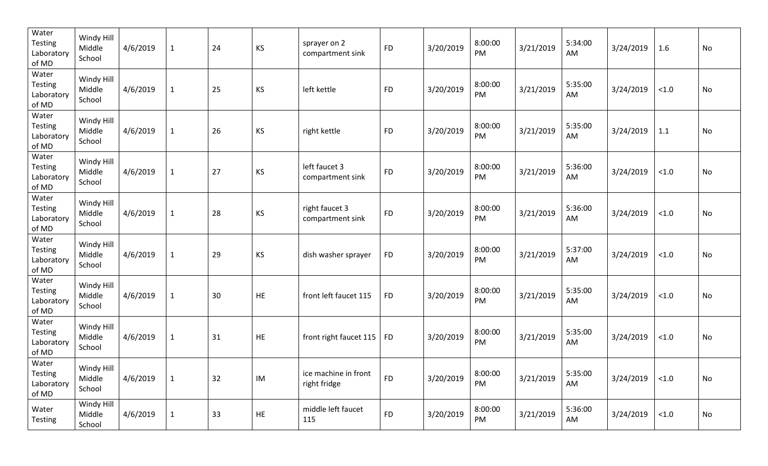| Water<br>Testing<br>Laboratory<br>of MD        | Windy Hill<br>Middle<br>School | 4/6/2019 | $\mathbf{1}$ | 24 | <b>KS</b> | sprayer on 2<br>compartment sink     | <b>FD</b> | 3/20/2019 | 8:00:00<br>PM | 3/21/2019 | 5:34:00<br>AM | 3/24/2019 | 1.6    | No        |
|------------------------------------------------|--------------------------------|----------|--------------|----|-----------|--------------------------------------|-----------|-----------|---------------|-----------|---------------|-----------|--------|-----------|
| Water<br><b>Testing</b><br>Laboratory<br>of MD | Windy Hill<br>Middle<br>School | 4/6/2019 | $\mathbf{1}$ | 25 | <b>KS</b> | left kettle                          | <b>FD</b> | 3/20/2019 | 8:00:00<br>PM | 3/21/2019 | 5:35:00<br>AM | 3/24/2019 | $<1.0$ | No        |
| Water<br>Testing<br>Laboratory<br>of MD        | Windy Hill<br>Middle<br>School | 4/6/2019 | $\mathbf{1}$ | 26 | KS        | right kettle                         | <b>FD</b> | 3/20/2019 | 8:00:00<br>PM | 3/21/2019 | 5:35:00<br>AM | 3/24/2019 | 1.1    | No        |
| Water<br><b>Testing</b><br>Laboratory<br>of MD | Windy Hill<br>Middle<br>School | 4/6/2019 | $\mathbf 1$  | 27 | KS        | left faucet 3<br>compartment sink    | <b>FD</b> | 3/20/2019 | 8:00:00<br>PM | 3/21/2019 | 5:36:00<br>AM | 3/24/2019 | $<1.0$ | No        |
| Water<br><b>Testing</b><br>Laboratory<br>of MD | Windy Hill<br>Middle<br>School | 4/6/2019 | $\mathbf 1$  | 28 | KS        | right faucet 3<br>compartment sink   | <b>FD</b> | 3/20/2019 | 8:00:00<br>PM | 3/21/2019 | 5:36:00<br>AM | 3/24/2019 | $<1.0$ | No        |
| Water<br><b>Testing</b><br>Laboratory<br>of MD | Windy Hill<br>Middle<br>School | 4/6/2019 | $\mathbf 1$  | 29 | KS        | dish washer sprayer                  | <b>FD</b> | 3/20/2019 | 8:00:00<br>PM | 3/21/2019 | 5:37:00<br>AM | 3/24/2019 | $<1.0$ | No        |
| Water<br><b>Testing</b><br>Laboratory<br>of MD | Windy Hill<br>Middle<br>School | 4/6/2019 | $\mathbf 1$  | 30 | HE        | front left faucet 115                | <b>FD</b> | 3/20/2019 | 8:00:00<br>PM | 3/21/2019 | 5:35:00<br>AM | 3/24/2019 | $<1.0$ | <b>No</b> |
| Water<br><b>Testing</b><br>Laboratory<br>of MD | Windy Hill<br>Middle<br>School | 4/6/2019 | $\mathbf{1}$ | 31 | HE        | front right faucet 115               | <b>FD</b> | 3/20/2019 | 8:00:00<br>PM | 3/21/2019 | 5:35:00<br>AM | 3/24/2019 | $<1.0$ | No        |
| Water<br>Testing<br>Laboratory<br>of MD        | Windy Hill<br>Middle<br>School | 4/6/2019 | $\mathbf{1}$ | 32 | IM        | ice machine in front<br>right fridge | <b>FD</b> | 3/20/2019 | 8:00:00<br>PM | 3/21/2019 | 5:35:00<br>AM | 3/24/2019 | $<1.0$ | No        |
| Water<br>Testing                               | Windy Hill<br>Middle<br>School | 4/6/2019 | $\mathbf{1}$ | 33 | HE        | middle left faucet<br>115            | <b>FD</b> | 3/20/2019 | 8:00:00<br>PM | 3/21/2019 | 5:36:00<br>AM | 3/24/2019 | < 1.0  | No        |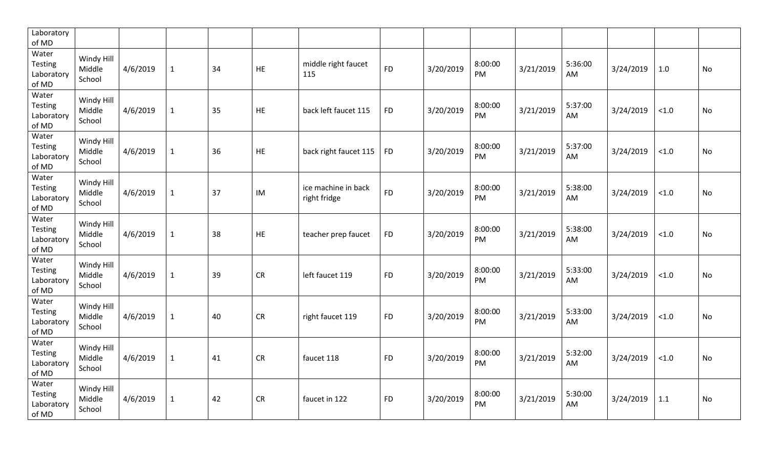| Laboratory<br>of MD                            |                                |          |              |    |           |                                     |           |           |                      |           |               |           |        |    |
|------------------------------------------------|--------------------------------|----------|--------------|----|-----------|-------------------------------------|-----------|-----------|----------------------|-----------|---------------|-----------|--------|----|
| Water<br>Testing<br>Laboratory<br>of MD        | Windy Hill<br>Middle<br>School | 4/6/2019 | $\mathbf{1}$ | 34 | HE        | middle right faucet<br>115          | <b>FD</b> | 3/20/2019 | 8:00:00<br><b>PM</b> | 3/21/2019 | 5:36:00<br>AM | 3/24/2019 | 1.0    | No |
| Water<br><b>Testing</b><br>Laboratory<br>of MD | Windy Hill<br>Middle<br>School | 4/6/2019 | $\mathbf{1}$ | 35 | <b>HE</b> | back left faucet 115                | <b>FD</b> | 3/20/2019 | 8:00:00<br>PM        | 3/21/2019 | 5:37:00<br>AM | 3/24/2019 | $<1.0$ | No |
| Water<br><b>Testing</b><br>Laboratory<br>of MD | Windy Hill<br>Middle<br>School | 4/6/2019 | $\mathbf{1}$ | 36 | HE        | back right faucet 115               | <b>FD</b> | 3/20/2019 | 8:00:00<br>PM        | 3/21/2019 | 5:37:00<br>AM | 3/24/2019 | $<1.0$ | No |
| Water<br><b>Testing</b><br>Laboratory<br>of MD | Windy Hill<br>Middle<br>School | 4/6/2019 | $\mathbf{1}$ | 37 | IM        | ice machine in back<br>right fridge | <b>FD</b> | 3/20/2019 | 8:00:00<br>PM        | 3/21/2019 | 5:38:00<br>AM | 3/24/2019 | < 1.0  | No |
| Water<br><b>Testing</b><br>Laboratory<br>of MD | Windy Hill<br>Middle<br>School | 4/6/2019 | $\mathbf{1}$ | 38 | HE        | teacher prep faucet                 | <b>FD</b> | 3/20/2019 | 8:00:00<br>PM        | 3/21/2019 | 5:38:00<br>AM | 3/24/2019 | $<1.0$ | No |
| Water<br>Testing<br>Laboratory<br>of MD        | Windy Hill<br>Middle<br>School | 4/6/2019 | $\mathbf{1}$ | 39 | <b>CR</b> | left faucet 119                     | <b>FD</b> | 3/20/2019 | 8:00:00<br>PM        | 3/21/2019 | 5:33:00<br>AM | 3/24/2019 | $<1.0$ | No |
| Water<br>Testing<br>Laboratory<br>of MD        | Windy Hill<br>Middle<br>School | 4/6/2019 | $\mathbf{1}$ | 40 | <b>CR</b> | right faucet 119                    | <b>FD</b> | 3/20/2019 | 8:00:00<br>PM        | 3/21/2019 | 5:33:00<br>AM | 3/24/2019 | $<1.0$ | No |
| Water<br>Testing<br>Laboratory<br>of MD        | Windy Hill<br>Middle<br>School | 4/6/2019 | $\mathbf{1}$ | 41 | CR        | faucet 118                          | <b>FD</b> | 3/20/2019 | 8:00:00<br>PM        | 3/21/2019 | 5:32:00<br>AM | 3/24/2019 | $<1.0$ | No |
| Water<br><b>Testing</b><br>Laboratory<br>of MD | Windy Hill<br>Middle<br>School | 4/6/2019 | $\mathbf{1}$ | 42 | <b>CR</b> | faucet in 122                       | <b>FD</b> | 3/20/2019 | 8:00:00<br>PM        | 3/21/2019 | 5:30:00<br>AM | 3/24/2019 | 1.1    | No |